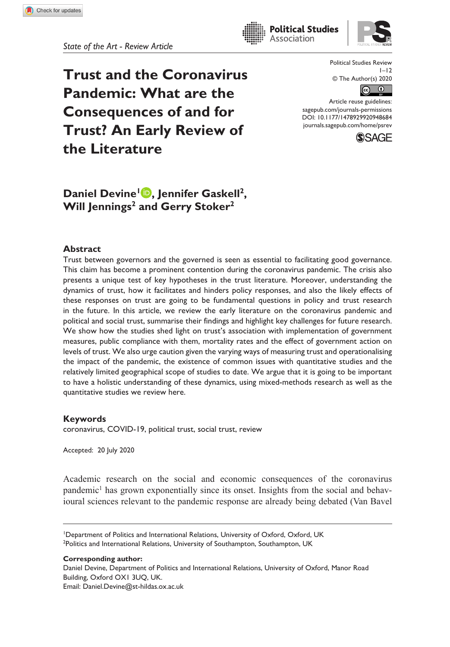**Trust and the Coronavirus Pandemic: What are the Consequences of and for Trust? An Early Review of the Literature**

Political Studies Review  $1 - 12$ © The Author(s) 2020



Article reuse guidelines: [sagepub.com/journals-permissions](https://uk.sagepub.com/en-gb/journals-permissions) DOI: 10.1177/1478929920948684 [journals.sagepub.com/home/psrev](https://journals.sagepub.com/home/psrev)

**Political Studies** Association



# **Daniel Devine<sup>1</sup> <b>D**, Jennifer Gaskell<sup>2</sup>, **Will Jennings<sup>2</sup> and Gerry Stoker<sup>2</sup>**

## **Abstract**

Trust between governors and the governed is seen as essential to facilitating good governance. This claim has become a prominent contention during the coronavirus pandemic. The crisis also presents a unique test of key hypotheses in the trust literature. Moreover, understanding the dynamics of trust, how it facilitates and hinders policy responses, and also the likely effects of these responses on trust are going to be fundamental questions in policy and trust research in the future. In this article, we review the early literature on the coronavirus pandemic and political and social trust, summarise their findings and highlight key challenges for future research. We show how the studies shed light on trust's association with implementation of government measures, public compliance with them, mortality rates and the effect of government action on levels of trust. We also urge caution given the varying ways of measuring trust and operationalising the impact of the pandemic, the existence of common issues with quantitative studies and the relatively limited geographical scope of studies to date. We argue that it is going to be important to have a holistic understanding of these dynamics, using mixed-methods research as well as the quantitative studies we review here.

## **Keywords**

coronavirus, COVID-19, political trust, social trust, review

Accepted: 20 July 2020

Academic research on the social and economic consequences of the coronavirus pandemic<sup>1</sup> has grown exponentially since its onset. Insights from the social and behavioural sciences relevant to the pandemic response are already being debated (Van Bavel

<sup>1</sup>Department of Politics and International Relations, University of Oxford, Oxford, UK <sup>2</sup>Politics and International Relations, University of Southampton, Southampton, UK

**Corresponding author:**

Daniel Devine, Department of Politics and International Relations, University of Oxford, Manor Road Building, Oxford OX1 3UQ, UK.

Email: [Daniel.Devine@st-hildas.ox.ac.uk](mailto:Daniel.Devine@st-hildas.ox.ac.uk)

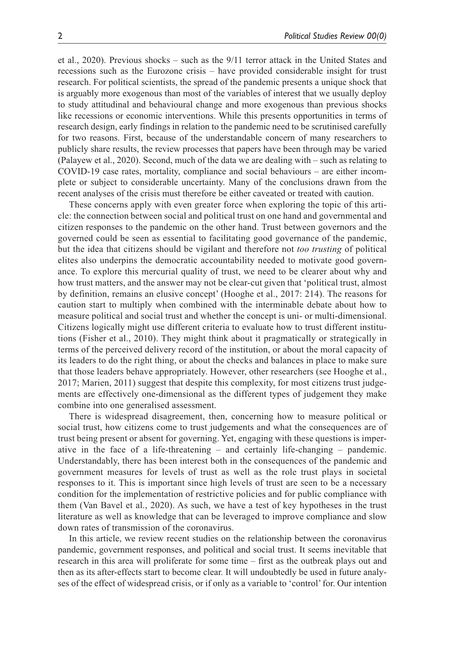et al., 2020). Previous shocks – such as the 9/11 terror attack in the United States and recessions such as the Eurozone crisis – have provided considerable insight for trust research. For political scientists, the spread of the pandemic presents a unique shock that is arguably more exogenous than most of the variables of interest that we usually deploy to study attitudinal and behavioural change and more exogenous than previous shocks like recessions or economic interventions. While this presents opportunities in terms of research design, early findings in relation to the pandemic need to be scrutinised carefully for two reasons. First, because of the understandable concern of many researchers to publicly share results, the review processes that papers have been through may be varied (Palayew et al., 2020). Second, much of the data we are dealing with – such as relating to COVID-19 case rates, mortality, compliance and social behaviours – are either incomplete or subject to considerable uncertainty. Many of the conclusions drawn from the recent analyses of the crisis must therefore be either caveated or treated with caution.

These concerns apply with even greater force when exploring the topic of this article: the connection between social and political trust on one hand and governmental and citizen responses to the pandemic on the other hand. Trust between governors and the governed could be seen as essential to facilitating good governance of the pandemic, but the idea that citizens should be vigilant and therefore not *too trusting* of political elites also underpins the democratic accountability needed to motivate good governance. To explore this mercurial quality of trust, we need to be clearer about why and how trust matters, and the answer may not be clear-cut given that 'political trust, almost by definition, remains an elusive concept' (Hooghe et al., 2017: 214). The reasons for caution start to multiply when combined with the interminable debate about how to measure political and social trust and whether the concept is uni- or multi-dimensional. Citizens logically might use different criteria to evaluate how to trust different institutions (Fisher et al., 2010). They might think about it pragmatically or strategically in terms of the perceived delivery record of the institution, or about the moral capacity of its leaders to do the right thing, or about the checks and balances in place to make sure that those leaders behave appropriately. However, other researchers (see Hooghe et al., 2017; Marien, 2011) suggest that despite this complexity, for most citizens trust judgements are effectively one-dimensional as the different types of judgement they make combine into one generalised assessment.

There is widespread disagreement, then, concerning how to measure political or social trust, how citizens come to trust judgements and what the consequences are of trust being present or absent for governing. Yet, engaging with these questions is imperative in the face of a life-threatening – and certainly life-changing – pandemic. Understandably, there has been interest both in the consequences of the pandemic and government measures for levels of trust as well as the role trust plays in societal responses to it. This is important since high levels of trust are seen to be a necessary condition for the implementation of restrictive policies and for public compliance with them (Van Bavel et al., 2020). As such, we have a test of key hypotheses in the trust literature as well as knowledge that can be leveraged to improve compliance and slow down rates of transmission of the coronavirus.

In this article, we review recent studies on the relationship between the coronavirus pandemic, government responses, and political and social trust. It seems inevitable that research in this area will proliferate for some time – first as the outbreak plays out and then as its after-effects start to become clear. It will undoubtedly be used in future analyses of the effect of widespread crisis, or if only as a variable to 'control' for. Our intention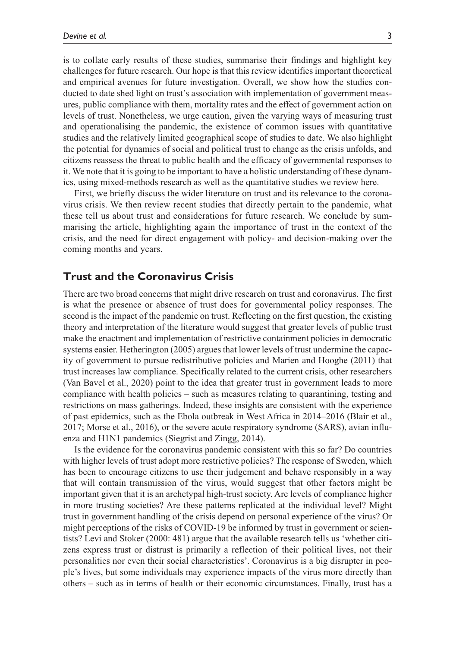is to collate early results of these studies, summarise their findings and highlight key challenges for future research. Our hope is that this review identifies important theoretical and empirical avenues for future investigation. Overall, we show how the studies conducted to date shed light on trust's association with implementation of government measures, public compliance with them, mortality rates and the effect of government action on levels of trust. Nonetheless, we urge caution, given the varying ways of measuring trust and operationalising the pandemic, the existence of common issues with quantitative studies and the relatively limited geographical scope of studies to date. We also highlight the potential for dynamics of social and political trust to change as the crisis unfolds, and citizens reassess the threat to public health and the efficacy of governmental responses to it. We note that it is going to be important to have a holistic understanding of these dynamics, using mixed-methods research as well as the quantitative studies we review here.

First, we briefly discuss the wider literature on trust and its relevance to the coronavirus crisis. We then review recent studies that directly pertain to the pandemic, what these tell us about trust and considerations for future research. We conclude by summarising the article, highlighting again the importance of trust in the context of the crisis, and the need for direct engagement with policy- and decision-making over the coming months and years.

## **Trust and the Coronavirus Crisis**

There are two broad concerns that might drive research on trust and coronavirus. The first is what the presence or absence of trust does for governmental policy responses. The second is the impact of the pandemic on trust. Reflecting on the first question, the existing theory and interpretation of the literature would suggest that greater levels of public trust make the enactment and implementation of restrictive containment policies in democratic systems easier. Hetherington (2005) argues that lower levels of trust undermine the capacity of government to pursue redistributive policies and Marien and Hooghe (2011) that trust increases law compliance. Specifically related to the current crisis, other researchers (Van Bavel et al., 2020) point to the idea that greater trust in government leads to more compliance with health policies – such as measures relating to quarantining, testing and restrictions on mass gatherings. Indeed, these insights are consistent with the experience of past epidemics, such as the Ebola outbreak in West Africa in 2014–2016 (Blair et al., 2017; Morse et al., 2016), or the severe acute respiratory syndrome (SARS), avian influenza and H1N1 pandemics (Siegrist and Zingg, 2014).

Is the evidence for the coronavirus pandemic consistent with this so far? Do countries with higher levels of trust adopt more restrictive policies? The response of Sweden, which has been to encourage citizens to use their judgement and behave responsibly in a way that will contain transmission of the virus, would suggest that other factors might be important given that it is an archetypal high-trust society. Are levels of compliance higher in more trusting societies? Are these patterns replicated at the individual level? Might trust in government handling of the crisis depend on personal experience of the virus? Or might perceptions of the risks of COVID-19 be informed by trust in government or scientists? Levi and Stoker (2000: 481) argue that the available research tells us 'whether citizens express trust or distrust is primarily a reflection of their political lives, not their personalities nor even their social characteristics'. Coronavirus is a big disrupter in people's lives, but some individuals may experience impacts of the virus more directly than others – such as in terms of health or their economic circumstances. Finally, trust has a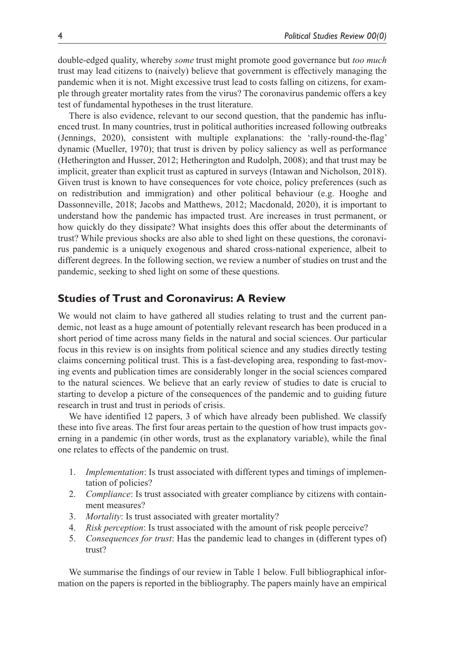double-edged quality, whereby *some* trust might promote good governance but *too much* trust may lead citizens to (naively) believe that government is effectively managing the pandemic when it is not. Might excessive trust lead to costs falling on citizens, for example through greater mortality rates from the virus? The coronavirus pandemic offers a key test of fundamental hypotheses in the trust literature.

There is also evidence, relevant to our second question, that the pandemic has influenced trust. In many countries, trust in political authorities increased following outbreaks (Jennings, 2020), consistent with multiple explanations: the 'rally-round-the-flag' dynamic (Mueller, 1970); that trust is driven by policy saliency as well as performance (Hetherington and Husser, 2012; Hetherington and Rudolph, 2008); and that trust may be implicit, greater than explicit trust as captured in surveys (Intawan and Nicholson, 2018). Given trust is known to have consequences for vote choice, policy preferences (such as on redistribution and immigration) and other political behaviour (e.g. Hooghe and Dassonneville, 2018; Jacobs and Matthews, 2012; Macdonald, 2020), it is important to understand how the pandemic has impacted trust. Are increases in trust permanent, or how quickly do they dissipate? What insights does this offer about the determinants of trust? While previous shocks are also able to shed light on these questions, the coronavirus pandemic is a uniquely exogenous and shared cross-national experience, albeit to different degrees. In the following section, we review a number of studies on trust and the pandemic, seeking to shed light on some of these questions.

## **Studies of Trust and Coronavirus: A Review**

We would not claim to have gathered all studies relating to trust and the current pandemic, not least as a huge amount of potentially relevant research has been produced in a short period of time across many fields in the natural and social sciences. Our particular focus in this review is on insights from political science and any studies directly testing claims concerning political trust. This is a fast-developing area, responding to fast-moving events and publication times are considerably longer in the social sciences compared to the natural sciences. We believe that an early review of studies to date is crucial to starting to develop a picture of the consequences of the pandemic and to guiding future research in trust and trust in periods of crisis.

We have identified 12 papers, 3 of which have already been published. We classify these into five areas. The first four areas pertain to the question of how trust impacts governing in a pandemic (in other words, trust as the explanatory variable), while the final one relates to effects of the pandemic on trust.

- 1. *Implementation*: Is trust associated with different types and timings of implementation of policies?
- 2. *Compliance*: Is trust associated with greater compliance by citizens with containment measures?
- 3. *Mortality*: Is trust associated with greater mortality?
- 4. *Risk perception*: Is trust associated with the amount of risk people perceive?
- 5. *Consequences for trust*: Has the pandemic lead to changes in (different types of) trust?

We summarise the findings of our review in Table 1 below. Full bibliographical information on the papers is reported in the bibliography. The papers mainly have an empirical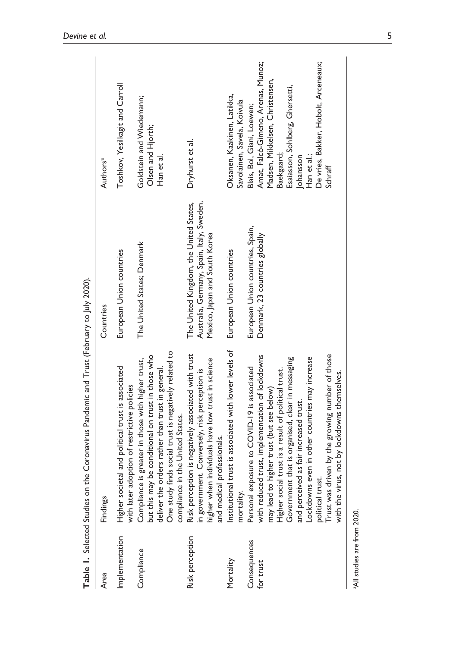| Area                        | Findings                                                                                                                                                                                                                                                                                                                                                                                                                                                                    | Countries                                                                                                            | Authors <sup>a</sup>                                                                                                                                                                                                                |
|-----------------------------|-----------------------------------------------------------------------------------------------------------------------------------------------------------------------------------------------------------------------------------------------------------------------------------------------------------------------------------------------------------------------------------------------------------------------------------------------------------------------------|----------------------------------------------------------------------------------------------------------------------|-------------------------------------------------------------------------------------------------------------------------------------------------------------------------------------------------------------------------------------|
| Implementation              | and political trust is associated<br>with later adoption of restrictive policies<br>Higher societal                                                                                                                                                                                                                                                                                                                                                                         | European Union countries                                                                                             | Toshkov, Yesilkagit and Carroll                                                                                                                                                                                                     |
| Compliance                  | One study finds social trust is negatively related to<br>but this may be conditional on trust in those who<br>deliver the orders rather than trust in general.<br>Compliance is greater in those with higher trust,<br>compliance in the United States.                                                                                                                                                                                                                     | The United States; Denmark                                                                                           | Goldstein and Wiedemann;<br>Olsen and Hjorth;<br>Han et al.                                                                                                                                                                         |
| Risk perception             | Risk perception is negatively associated with trust<br>in government. Conversely, risk perception is<br>higher when individuals have low trust in science<br>and medical professionals.                                                                                                                                                                                                                                                                                     | Australia, Germany, Spain, Italy, Sweden,<br>The United Kingdom, the United States,<br>Mexico, Japan and South Korea | Dryhurst et al.                                                                                                                                                                                                                     |
| Mortality                   | Institutional trust is associated with lower levels of<br>mortality.                                                                                                                                                                                                                                                                                                                                                                                                        | European Union countries                                                                                             | Oksanen, Kaakinen, Latikka,<br>Savolainen, Savela, Koivula                                                                                                                                                                          |
| Consequences<br>for trust   | Frust was driven by the growing number of those<br>with reduced trust, implementation of lockdowns<br>Lockdowns even in other countries may increase<br>Government that is organised, clear in messaging<br>Personal exposure to COVID-19 is associated<br>Higher social trust is a result of political trust.<br>not by lockdowns themselves.<br>may lead to higher trust (but see below)<br>and perceived as fair increased trust.<br>with the virus,<br>political trust. | European Union countries, Spain,<br>Denmark, 23 countries globally                                                   | Amat, Falcó-Gimeno, Arenas, Munoz;<br>De vries, Bakker, Hobolt, Arceneaux;<br>Madsen, Mikkelsen, Christensen,<br>Esaiasson, Sohlberg, Ghersetti,<br>Blais, Bol, Giani, Loewen;<br>Baekgaard;<br>Johansson<br>Han et al.;<br>Schraff |
| aAll studies are from 2020. |                                                                                                                                                                                                                                                                                                                                                                                                                                                                             |                                                                                                                      |                                                                                                                                                                                                                                     |

Table 1. Selected Studies on the Coronavirus Pandemic and Trust (February to July 2020). **Table 1.** Selected Studies on the Coronavirus Pandemic and Trust (February to July 2020).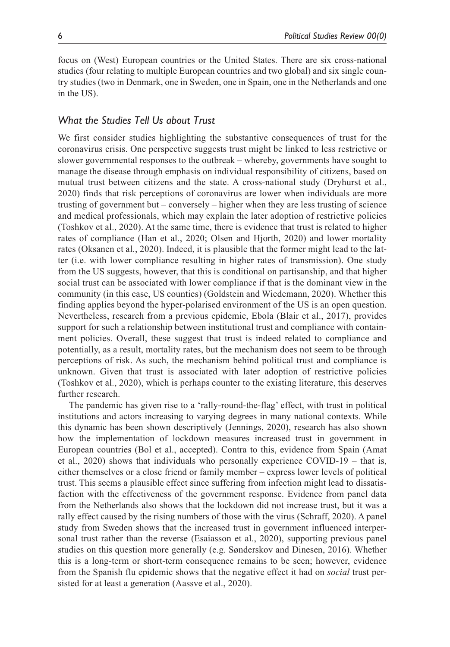focus on (West) European countries or the United States. There are six cross-national studies (four relating to multiple European countries and two global) and six single country studies (two in Denmark, one in Sweden, one in Spain, one in the Netherlands and one in the US).

## *What the Studies Tell Us about Trust*

We first consider studies highlighting the substantive consequences of trust for the coronavirus crisis. One perspective suggests trust might be linked to less restrictive or slower governmental responses to the outbreak – whereby, governments have sought to manage the disease through emphasis on individual responsibility of citizens, based on mutual trust between citizens and the state. A cross-national study (Dryhurst et al., 2020) finds that risk perceptions of coronavirus are lower when individuals are more trusting of government but – conversely – higher when they are less trusting of science and medical professionals, which may explain the later adoption of restrictive policies (Toshkov et al., 2020). At the same time, there is evidence that trust is related to higher rates of compliance (Han et al., 2020; Olsen and Hjorth, 2020) and lower mortality rates (Oksanen et al., 2020). Indeed, it is plausible that the former might lead to the latter (i.e. with lower compliance resulting in higher rates of transmission). One study from the US suggests, however, that this is conditional on partisanship, and that higher social trust can be associated with lower compliance if that is the dominant view in the community (in this case, US counties) (Goldstein and Wiedemann, 2020). Whether this finding applies beyond the hyper-polarised environment of the US is an open question. Nevertheless, research from a previous epidemic, Ebola (Blair et al., 2017), provides support for such a relationship between institutional trust and compliance with containment policies. Overall, these suggest that trust is indeed related to compliance and potentially, as a result, mortality rates, but the mechanism does not seem to be through perceptions of risk. As such, the mechanism behind political trust and compliance is unknown. Given that trust is associated with later adoption of restrictive policies (Toshkov et al., 2020), which is perhaps counter to the existing literature, this deserves further research.

The pandemic has given rise to a 'rally-round-the-flag' effect, with trust in political institutions and actors increasing to varying degrees in many national contexts. While this dynamic has been shown descriptively (Jennings, 2020), research has also shown how the implementation of lockdown measures increased trust in government in European countries (Bol et al., accepted). Contra to this, evidence from Spain (Amat et al., 2020) shows that individuals who personally experience COVID-19 – that is, either themselves or a close friend or family member – express lower levels of political trust. This seems a plausible effect since suffering from infection might lead to dissatisfaction with the effectiveness of the government response. Evidence from panel data from the Netherlands also shows that the lockdown did not increase trust, but it was a rally effect caused by the rising numbers of those with the virus (Schraff, 2020). A panel study from Sweden shows that the increased trust in government influenced interpersonal trust rather than the reverse (Esaiasson et al., 2020), supporting previous panel studies on this question more generally (e.g. Sønderskov and Dinesen, 2016). Whether this is a long-term or short-term consequence remains to be seen; however, evidence from the Spanish flu epidemic shows that the negative effect it had on *social* trust persisted for at least a generation (Aassve et al., 2020).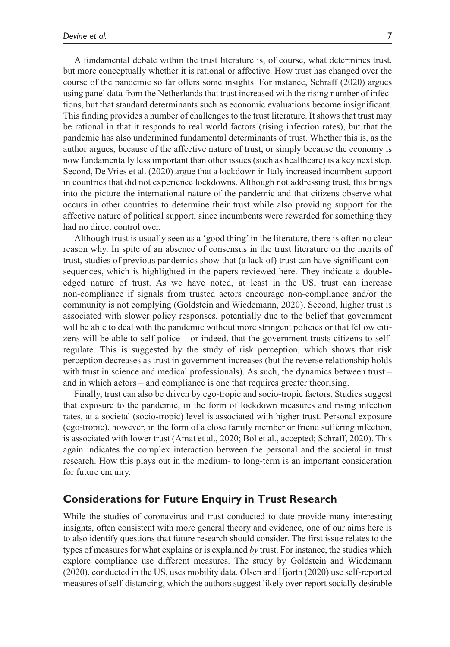A fundamental debate within the trust literature is, of course, what determines trust, but more conceptually whether it is rational or affective. How trust has changed over the course of the pandemic so far offers some insights. For instance, Schraff (2020) argues using panel data from the Netherlands that trust increased with the rising number of infections, but that standard determinants such as economic evaluations become insignificant. This finding provides a number of challenges to the trust literature. It shows that trust may be rational in that it responds to real world factors (rising infection rates), but that the pandemic has also undermined fundamental determinants of trust. Whether this is, as the author argues, because of the affective nature of trust, or simply because the economy is now fundamentally less important than other issues (such as healthcare) is a key next step. Second, De Vries et al. (2020) argue that a lockdown in Italy increased incumbent support in countries that did not experience lockdowns. Although not addressing trust, this brings into the picture the international nature of the pandemic and that citizens observe what occurs in other countries to determine their trust while also providing support for the affective nature of political support, since incumbents were rewarded for something they had no direct control over.

Although trust is usually seen as a 'good thing' in the literature, there is often no clear reason why. In spite of an absence of consensus in the trust literature on the merits of trust, studies of previous pandemics show that (a lack of) trust can have significant consequences, which is highlighted in the papers reviewed here. They indicate a doubleedged nature of trust. As we have noted, at least in the US, trust can increase non-compliance if signals from trusted actors encourage non-compliance and/or the community is not complying (Goldstein and Wiedemann, 2020). Second, higher trust is associated with slower policy responses, potentially due to the belief that government will be able to deal with the pandemic without more stringent policies or that fellow citizens will be able to self-police – or indeed, that the government trusts citizens to selfregulate. This is suggested by the study of risk perception, which shows that risk perception decreases as trust in government increases (but the reverse relationship holds with trust in science and medical professionals). As such, the dynamics between trust – and in which actors – and compliance is one that requires greater theorising.

Finally, trust can also be driven by ego-tropic and socio-tropic factors. Studies suggest that exposure to the pandemic, in the form of lockdown measures and rising infection rates, at a societal (socio-tropic) level is associated with higher trust. Personal exposure (ego-tropic), however, in the form of a close family member or friend suffering infection, is associated with lower trust (Amat et al., 2020; Bol et al., accepted; Schraff, 2020). This again indicates the complex interaction between the personal and the societal in trust research. How this plays out in the medium- to long-term is an important consideration for future enquiry.

## **Considerations for Future Enquiry in Trust Research**

While the studies of coronavirus and trust conducted to date provide many interesting insights, often consistent with more general theory and evidence, one of our aims here is to also identify questions that future research should consider. The first issue relates to the types of measures for what explains or is explained *by* trust. For instance, the studies which explore compliance use different measures. The study by Goldstein and Wiedemann (2020), conducted in the US, uses mobility data. Olsen and Hjorth (2020) use self-reported measures of self-distancing, which the authors suggest likely over-report socially desirable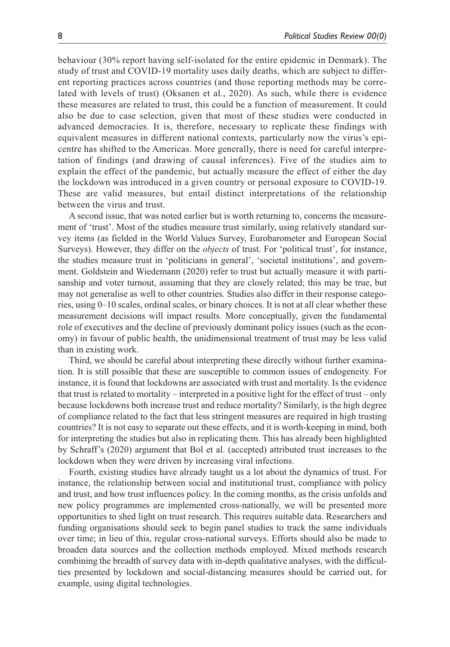behaviour (30% report having self-isolated for the entire epidemic in Denmark). The study of trust and COVID-19 mortality uses daily deaths, which are subject to different reporting practices across countries (and those reporting methods may be correlated with levels of trust) (Oksanen et al., 2020). As such, while there is evidence these measures are related to trust, this could be a function of measurement. It could also be due to case selection, given that most of these studies were conducted in advanced democracies. It is, therefore, necessary to replicate these findings with equivalent measures in different national contexts, particularly now the virus's epicentre has shifted to the Americas. More generally, there is need for careful interpretation of findings (and drawing of causal inferences). Five of the studies aim to explain the effect of the pandemic, but actually measure the effect of either the day the lockdown was introduced in a given country or personal exposure to COVID-19. These are valid measures, but entail distinct interpretations of the relationship between the virus and trust.

A second issue, that was noted earlier but is worth returning to, concerns the measurement of 'trust'. Most of the studies measure trust similarly, using relatively standard survey items (as fielded in the World Values Survey, Eurobarometer and European Social Surveys). However, they differ on the *objects* of trust. For 'political trust', for instance, the studies measure trust in 'politicians in general', 'societal institutions', and government. Goldstein and Wiedemann (2020) refer to trust but actually measure it with partisanship and voter turnout, assuming that they are closely related; this may be true, but may not generalise as well to other countries. Studies also differ in their response categories, using 0–10 scales, ordinal scales, or binary choices. It is not at all clear whether these measurement decisions will impact results. More conceptually, given the fundamental role of executives and the decline of previously dominant policy issues (such as the economy) in favour of public health, the unidimensional treatment of trust may be less valid than in existing work.

Third, we should be careful about interpreting these directly without further examination. It is still possible that these are susceptible to common issues of endogeneity. For instance, it is found that lockdowns are associated with trust and mortality. Is the evidence that trust is related to mortality – interpreted in a positive light for the effect of trust – only because lockdowns both increase trust and reduce mortality? Similarly, is the high degree of compliance related to the fact that less stringent measures are required in high trusting countries? It is not easy to separate out these effects, and it is worth-keeping in mind, both for interpreting the studies but also in replicating them. This has already been highlighted by Schraff's (2020) argument that Bol et al. (accepted) attributed trust increases to the lockdown when they were driven by increasing viral infections.

Fourth, existing studies have already taught us a lot about the dynamics of trust. For instance, the relationship between social and institutional trust, compliance with policy and trust, and how trust influences policy. In the coming months, as the crisis unfolds and new policy programmes are implemented cross-nationally, we will be presented more opportunities to shed light on trust research. This requires suitable data. Researchers and funding organisations should seek to begin panel studies to track the same individuals over time; in lieu of this, regular cross-national surveys. Efforts should also be made to broaden data sources and the collection methods employed. Mixed methods research combining the breadth of survey data with in-depth qualitative analyses, with the difficulties presented by lockdown and social-distancing measures should be carried out, for example, using digital technologies.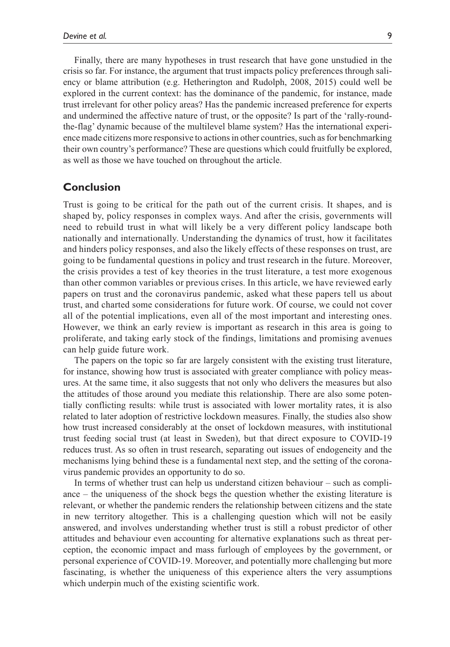Finally, there are many hypotheses in trust research that have gone unstudied in the crisis so far. For instance, the argument that trust impacts policy preferences through saliency or blame attribution (e.g. Hetherington and Rudolph, 2008, 2015) could well be explored in the current context: has the dominance of the pandemic, for instance, made trust irrelevant for other policy areas? Has the pandemic increased preference for experts and undermined the affective nature of trust, or the opposite? Is part of the 'rally-roundthe-flag' dynamic because of the multilevel blame system? Has the international experience made citizens more responsive to actions in other countries, such as for benchmarking their own country's performance? These are questions which could fruitfully be explored, as well as those we have touched on throughout the article.

## **Conclusion**

Trust is going to be critical for the path out of the current crisis. It shapes, and is shaped by, policy responses in complex ways. And after the crisis, governments will need to rebuild trust in what will likely be a very different policy landscape both nationally and internationally. Understanding the dynamics of trust, how it facilitates and hinders policy responses, and also the likely effects of these responses on trust, are going to be fundamental questions in policy and trust research in the future. Moreover, the crisis provides a test of key theories in the trust literature, a test more exogenous than other common variables or previous crises. In this article, we have reviewed early papers on trust and the coronavirus pandemic, asked what these papers tell us about trust, and charted some considerations for future work. Of course, we could not cover all of the potential implications, even all of the most important and interesting ones. However, we think an early review is important as research in this area is going to proliferate, and taking early stock of the findings, limitations and promising avenues can help guide future work.

The papers on the topic so far are largely consistent with the existing trust literature, for instance, showing how trust is associated with greater compliance with policy measures. At the same time, it also suggests that not only who delivers the measures but also the attitudes of those around you mediate this relationship. There are also some potentially conflicting results: while trust is associated with lower mortality rates, it is also related to later adoption of restrictive lockdown measures. Finally, the studies also show how trust increased considerably at the onset of lockdown measures, with institutional trust feeding social trust (at least in Sweden), but that direct exposure to COVID-19 reduces trust. As so often in trust research, separating out issues of endogeneity and the mechanisms lying behind these is a fundamental next step, and the setting of the coronavirus pandemic provides an opportunity to do so.

In terms of whether trust can help us understand citizen behaviour – such as compliance – the uniqueness of the shock begs the question whether the existing literature is relevant, or whether the pandemic renders the relationship between citizens and the state in new territory altogether. This is a challenging question which will not be easily answered, and involves understanding whether trust is still a robust predictor of other attitudes and behaviour even accounting for alternative explanations such as threat perception, the economic impact and mass furlough of employees by the government, or personal experience of COVID-19. Moreover, and potentially more challenging but more fascinating, is whether the uniqueness of this experience alters the very assumptions which underpin much of the existing scientific work.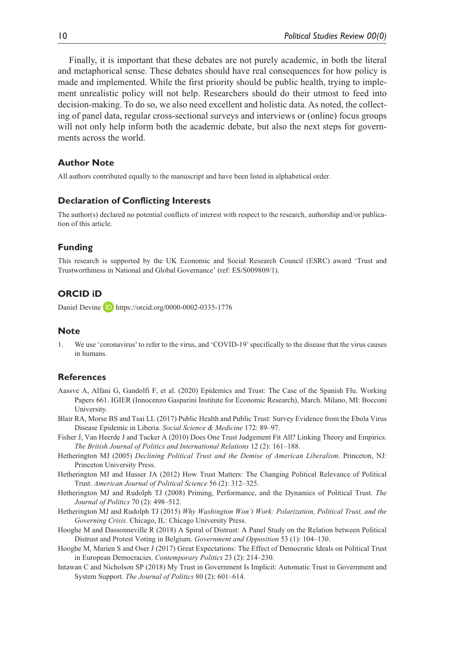Finally, it is important that these debates are not purely academic, in both the literal and metaphorical sense. These debates should have real consequences for how policy is made and implemented. While the first priority should be public health, trying to implement unrealistic policy will not help. Researchers should do their utmost to feed into decision-making. To do so, we also need excellent and holistic data. As noted, the collecting of panel data, regular cross-sectional surveys and interviews or (online) focus groups will not only help inform both the academic debate, but also the next steps for governments across the world.

#### **Author Note**

All authors contributed equally to the manuscript and have been listed in alphabetical order.

#### **Declaration of Conflicting Interests**

The author(s) declared no potential conflicts of interest with respect to the research, authorship and/or publication of this article.

#### **Funding**

This research is supported by the UK Economic and Social Research Council (ESRC) award 'Trust and Trustworthiness in National and Global Governance' (ref: ES/S009809/1).

### **ORCID iD**

Daniel Devine D <https://orcid.org/0000-0002-0335-1776>

#### **Note**

1. We use 'coronavirus' to refer to the virus, and 'COVID-19' specifically to the disease that the virus causes in humans.

#### **References**

- Aassve A, Alfani G, Gandolfi F, et al. (2020) Epidemics and Trust: The Case of the Spanish Flu. Working Papers 661. IGIER (Innocenzo Gasparini Institute for Economic Research), March. Milano, MI: Bocconi University.
- Blair RA, Morse BS and Tsai LL (2017) Public Health and Public Trust: Survey Evidence from the Ebola Virus Disease Epidemic in Liberia. *Social Science & Medicine* 172: 89–97.
- Fisher J, Van Heerde J and Tucker A (2010) Does One Trust Judgement Fit All? Linking Theory and Empirics. *The British Journal of Politics and International Relations* 12 (2): 161–188.
- Hetherington MJ (2005) *Declining Political Trust and the Demise of American Liberalism*. Princeton, NJ: Princeton University Press.
- Hetherington MJ and Husser JA (2012) How Trust Matters: The Changing Political Relevance of Political Trust. *American Journal of Political Science* 56 (2): 312–325.
- Hetherington MJ and Rudolph TJ (2008) Priming, Performance, and the Dynamics of Political Trust. *The Journal of Politics* 70 (2): 498–512.
- Hetherington MJ and Rudolph TJ (2015) *Why Washington Won't Work: Polarization, Political Trust, and the Governing Crisis*. Chicago, IL: Chicago University Press.
- Hooghe M and Dassonneville R (2018) A Spiral of Distrust: A Panel Study on the Relation between Political Distrust and Protest Voting in Belgium. *Government and Opposition* 53 (1): 104–130.
- Hooghe M, Marien S and Oser J (2017) Great Expectations: The Effect of Democratic Ideals on Political Trust in European Democracies. *Contemporary Politics* 23 (2): 214–230.
- Intawan C and Nicholson SP (2018) My Trust in Government Is Implicit: Automatic Trust in Government and System Support. *The Journal of Politics* 80 (2): 601–614.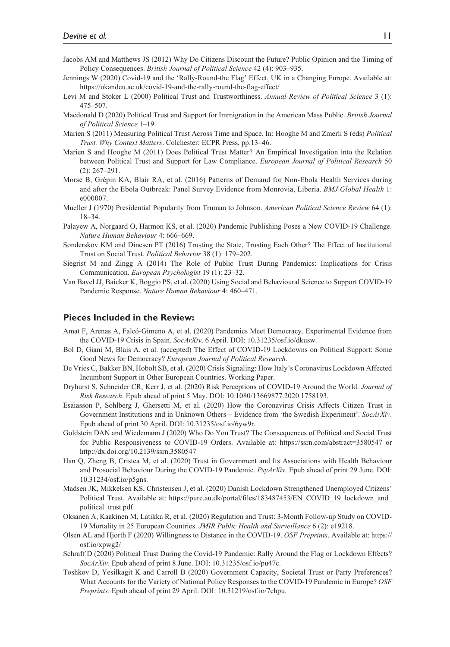- Jacobs AM and Matthews JS (2012) Why Do Citizens Discount the Future? Public Opinion and the Timing of Policy Consequences. *British Journal of Political Science* 42 (4): 903–935.
- Jennings W (2020) Covid-19 and the 'Rally-Round-the Flag' Effect, UK in a Changing Europe. Available at: <https://ukandeu.ac.uk/covid-19-and-the-rally-round-the-flag-effect/>
- Levi M and Stoker L (2000) Political Trust and Trustworthiness. *Annual Review of Political Science* 3 (1): 475–507.
- Macdonald D (2020) Political Trust and Support for Immigration in the American Mass Public. *British Journal of Political Science* 1–19.
- Marien S (2011) Measuring Political Trust Across Time and Space. In: Hooghe M and Zmerli S (eds) *Political Trust. Why Context Matters*. Colchester: ECPR Press, pp.13–46.
- Marien S and Hooghe M (2011) Does Political Trust Matter? An Empirical Investigation into the Relation between Political Trust and Support for Law Compliance. *European Journal of Political Research* 50 (2): 267–291.
- Morse B, Grépin KA, Blair RA, et al. (2016) Patterns of Demand for Non-Ebola Health Services during and after the Ebola Outbreak: Panel Survey Evidence from Monrovia, Liberia. *BMJ Global Health* 1: e000007.
- Mueller J (1970) Presidential Popularity from Truman to Johnson. *American Political Science Review* 64 (1): 18–34.
- Palayew A, Norgaard O, Harmon KS, et al. (2020) Pandemic Publishing Poses a New COVID-19 Challenge. *Nature Human Behaviour* 4: 666–669.
- Sønderskov KM and Dinesen PT (2016) Trusting the State, Trusting Each Other? The Effect of Institutional Trust on Social Trust. *Political Behavior* 38 (1): 179–202.
- Siegrist M and Zingg A (2014) The Role of Public Trust During Pandemics: Implications for Crisis Communication. *European Psychologist* 19 (1): 23–32.
- Van Bavel JJ, Baicker K, Boggio PS, et al. (2020) Using Social and Behavioural Science to Support COVID-19 Pandemic Response. *Nature Human Behaviour* 4: 460–471.

#### **Pieces Included in the Review:**

- Amat F, Arenas A, Falcó-Gimeno A, et al. (2020) Pandemics Meet Democracy. Experimental Evidence from the COVID-19 Crisis in Spain. *SocArXiv*. 6 April. DOI: 10.31235/osf.io/dkusw.
- Bol D, Giani M, Blais A, et al. (accepted) The Effect of COVID-19 Lockdowns on Political Support: Some Good News for Democracy? *European Journal of Political Research*.
- De Vries C, Bakker BN, Hobolt SB, et al. (2020) Crisis Signaling: How Italy's Coronavirus Lockdown Affected Incumbent Support in Other European Countries. Working Paper.
- Dryhurst S, Schneider CR, Kerr J, et al. (2020) Risk Perceptions of COVID-19 Around the World. *Journal of Risk Research*. Epub ahead of print 5 May. DOI: 10.1080/13669877.2020.1758193.
- Esaiasson P, Sohlberg J, Ghersetti M, et al. (2020) How the Coronavirus Crisis Affects Citizen Trust in Government Institutions and in Unknown Others – Evidence from 'the Swedish Experiment'. *SocArXiv*. Epub ahead of print 30 April. DOI: 10.31235/osf.io/6yw9r.
- Goldstein DAN and Wiedemann J (2020) Who Do You Trust? The Consequences of Political and Social Trust for Public Responsiveness to COVID-19 Orders. Available at: <https://ssrn.com/abstract=3580547>or <http://dx.doi.org/10.2139/ssrn.3580547>
- Han Q, Zheng B, Cristea M, et al. (2020) Trust in Government and Its Associations with Health Behaviour and Prosocial Behaviour During the COVID-19 Pandemic. *PsyArXiv*. Epub ahead of print 29 June. DOI: 10.31234/osf.io/p5gns.
- Madsen JK, Mikkelsen KS, Christensen J, et al. (2020) Danish Lockdown Strengthened Unemployed Citizens' Political Trust. Available at: [https://pure.au.dk/portal/files/183487453/EN\\_COVID\\_19\\_lockdown\\_and\\_](https://pure.au.dk/portal/files/183487453/EN_COVID_19_lockdown_and_political_trust.pdf) [political\\_trust.pdf](https://pure.au.dk/portal/files/183487453/EN_COVID_19_lockdown_and_political_trust.pdf)
- Oksanen A, Kaakinen M, Latikka R, et al. (2020) Regulation and Trust: 3-Month Follow-up Study on COVID-19 Mortality in 25 European Countries. *JMIR Public Health and Surveillance* 6 (2): e19218.
- Olsen AL and Hjorth F (2020) Willingness to Distance in the COVID-19. *OSF Preprints*. Available at: [https://](https://osf.io/xpwg2/) [osf.io/xpwg2/](https://osf.io/xpwg2/)
- Schraff D (2020) Political Trust During the Covid-19 Pandemic: Rally Around the Flag or Lockdown Effects? *SocArXiv*. Epub ahead of print 8 June. DOI: 10.31235/osf.io/pu47c.
- Toshkov D, Yesilkagit K and Carroll B (2020) Government Capacity, Societal Trust or Party Preferences? What Accounts for the Variety of National Policy Responses to the COVID-19 Pandemic in Europe? *OSF Preprints*. Epub ahead of print 29 April. DOI: 10.31219/osf.io/7chpu.